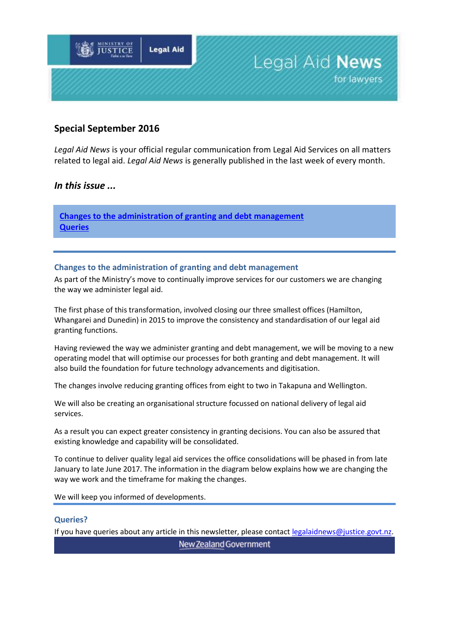

#### **Special September 2016**

*Legal Aid News* is your official regular communication from Legal Aid Services on all matters related to legal aid. *Legal Aid News* is generally published in the last week of every month.

#### *In this issue ...*

**[Changes to the administration of granting and debt management](#page-0-0) Queries**

#### <span id="page-0-0"></span>**Changes to the administration of granting and debt management**

As part of the Ministry's move to continually improve services for our customers we are changing the way we administer legal aid.

The first phase of this transformation, involved closing our three smallest offices (Hamilton, Whangarei and Dunedin) in 2015 to improve the consistency and standardisation of our legal aid granting functions.

Having reviewed the way we administer granting and debt management, we will be moving to a new operating model that will optimise our processes for both granting and debt management. It will also build the foundation for future technology advancements and digitisation.

The changes involve reducing granting offices from eight to two in Takapuna and Wellington.

We will also be creating an organisational structure focussed on national delivery of legal aid services.

As a result you can expect greater consistency in granting decisions. You can also be assured that existing knowledge and capability will be consolidated.

To continue to deliver quality legal aid services the office consolidations will be phased in from late January to late June 2017. The information in the diagram below explains how we are changing the way we work and the timeframe for making the changes.

We will keep you informed of developments.

#### **Queries?**

If you have queries about any article in this newsletter, please contact [legalaidnews@justice.govt.nz.](mailto:legalaidnews@justice.govt.nz)

New Zealand Government